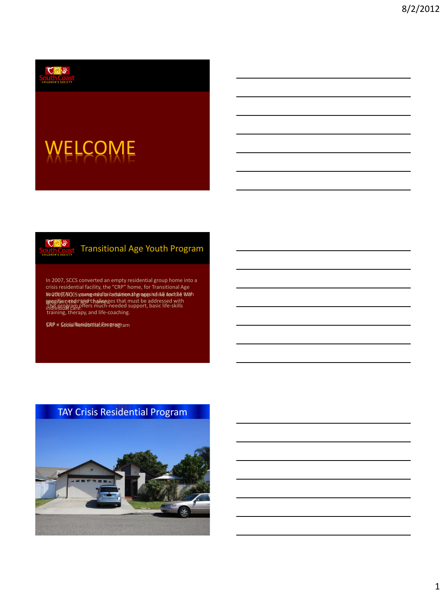

# **ELCOME**



### Transitional Age Youth Program

In 2007, SCCS converted an empty residential group home into a crisis residential facility, the "CRP" home, for Transitional Age In 2000, TAY) – in 2009, Montangen and the age of the TAY with the Day of the TAY with the Day of the TAY with ppegific needs "SRe" challenges that must be addressed with **ស្ថាខ្ញុឲ្យម៉ែលា the "SRP" hollon**ges that must be addressed with<br>This program offers much-needed support, basic life-skills<br>Individual eare. training, therapy, and life-coaching.

CRP = Crisis Residential Program SRP = Social Rehabilitation Program

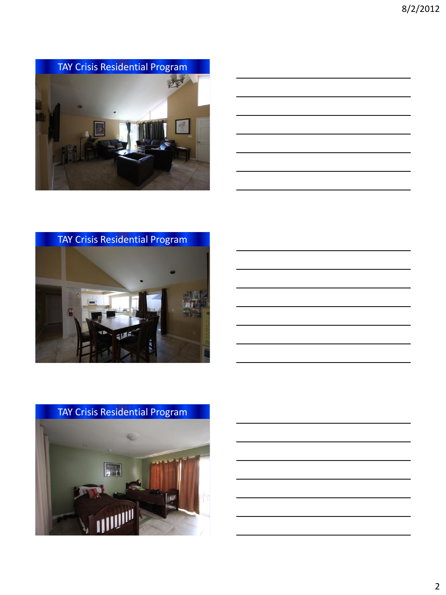

![](_page_1_Figure_2.jpeg)

TAY Crisis Residential Program

![](_page_1_Picture_4.jpeg)

![](_page_1_Picture_5.jpeg)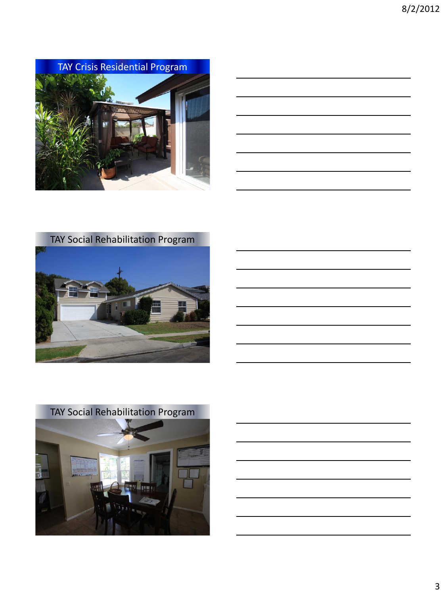TAY Crisis Residential Program

![](_page_2_Picture_2.jpeg)

![](_page_2_Figure_3.jpeg)

![](_page_2_Picture_4.jpeg)

![](_page_2_Picture_5.jpeg)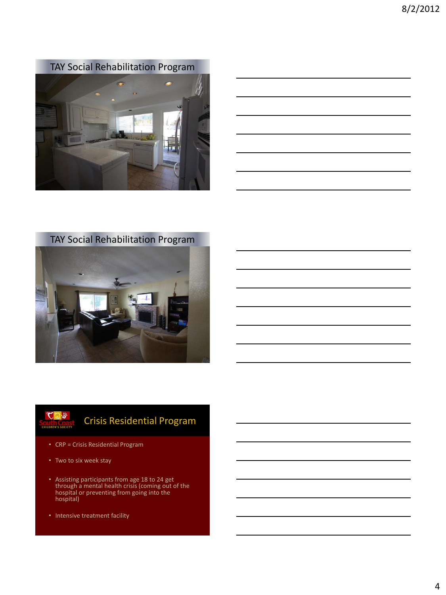TAY Social Rehabilitation Program

![](_page_3_Picture_2.jpeg)

![](_page_3_Figure_3.jpeg)

TAY Social Rehabilitation Program

![](_page_3_Picture_5.jpeg)

![](_page_3_Picture_6.jpeg)

### Crisis Residential Program

- CRP = Crisis Residential Program
- Two to six week stay
- Assisting participants from age 18 to 24 get through a mental health crisis (coming out of the hospital or preventing from going into the hospital)
- Intensive treatment facility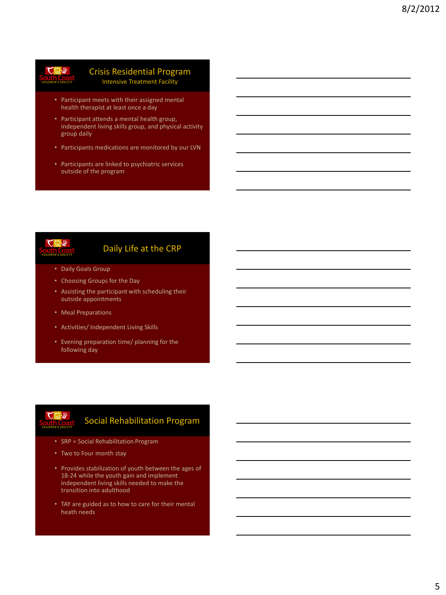# $C_1 \oplus R_2$

#### Crisis Residential Program Intensive Treatment Facility

- Participant meets with their assigned mental health therapist at least once a day
- Participant attends a mental health group, independent living skills group, and physical activity group daily
- Participants medications are monitored by our LVN
- Participants are linked to psychiatric services outside of the program

![](_page_4_Picture_7.jpeg)

#### Daily Life at the CRP

- Daily Goals Group
- Choosing Groups for the Day
- Assisting the participant with scheduling their outside appointments
- Meal Preparations
- Activities/ Independent Living Skills
- Evening preparation time/ planning for the following day

![](_page_4_Picture_15.jpeg)

### Social Rehabilitation Program

- SRP = Social Rehabilitation Program
- Two to Four month stay
- Provides stabilization of youth between the ages of 18-24 while the youth gain and implement independent living skills needed to make the transition into adulthood
- TAY are guided as to how to care for their mental heath needs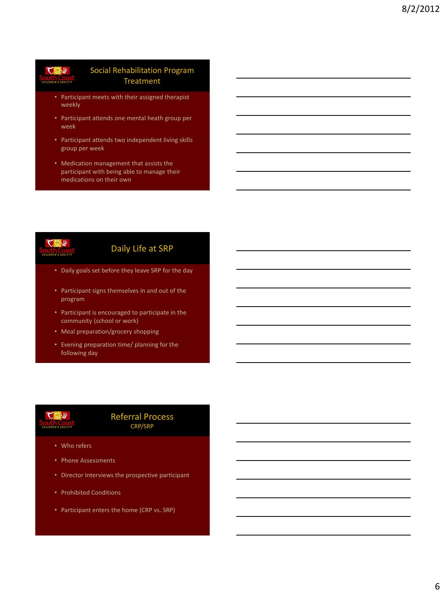## $C_1$

#### Social Rehabilitation Program **Treatment**

- Participant meets with their assigned therapist weekly
- Participant attends one mental heath group per week
- Participant attends two independent living skills group per week
- Medication management that assists the participant with being able to manage their medications on their own

![](_page_5_Picture_7.jpeg)

### Daily Life at SRP

- Daily goals set before they leave SRP for the day
- Participant signs themselves in and out of the program
- Participant is encouraged to participate in the community (school or work)
- Meal preparation/grocery shopping
- Evening preparation time/ planning for the following day

![](_page_5_Picture_14.jpeg)

#### Referral Process CRP/SRP

- Who refers
- Phone Assessments
- Director Interviews the prospective participant
- Prohibited Conditions
- Participant enters the home (CRP vs. SRP)